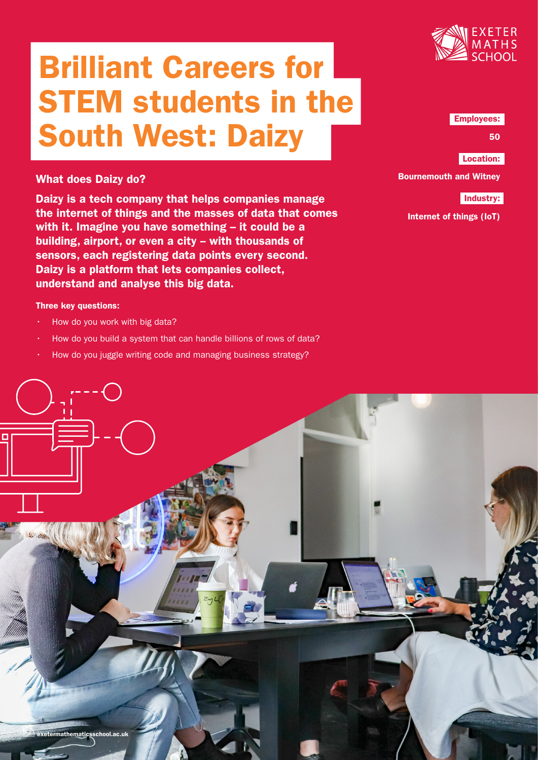# Brilliant Careers for STEM students in the South West: Daizy



## Employees:

50

Location:

Bournemouth and Witney

# Industry:

Internet of things (IoT)

# What does Daizy do?

Daizy is a tech company that helps companies manage the internet of things and the masses of data that comes with it. Imagine you have something – it could be a building, airport, or even a city -- with thousands of sensors, each registering data points every second. Daizy is a platform that lets companies collect, understand and analyse this big data.

## Three key questions:

- How do you work with big data?
- How do you build a system that can handle billions of rows of data?
- How do you juggle writing code and managing business strategy?